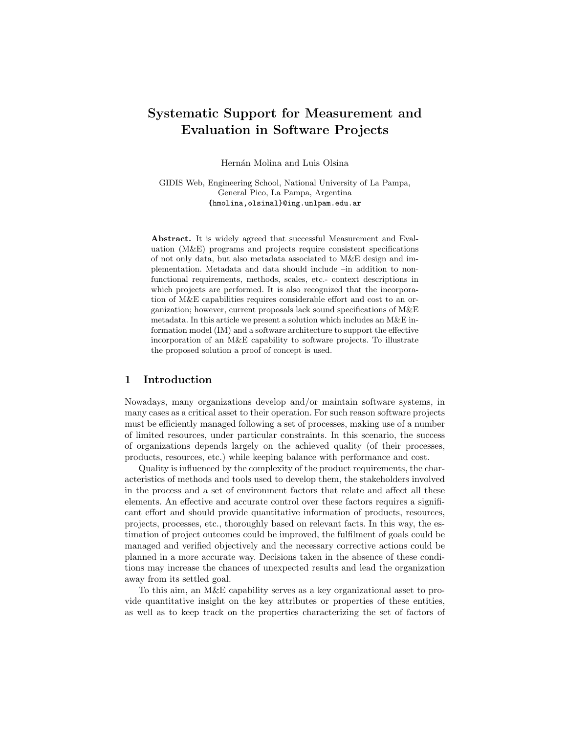# **Systematic Support for Measurement and Evaluation in Software Projects**

Hernán Molina and Luis Olsina

GIDIS Web, Engineering School, National University of La Pampa, General Pico, La Pampa, Argentina {hmolina,olsinal}@ing.unlpam.edu.ar

**Abstract.** It is widely agreed that successful Measurement and Evaluation (M&E) programs and projects require consistent specifications of not only data, but also metadata associated to M&E design and implementation. Metadata and data should include –in addition to nonfunctional requirements, methods, scales, etc.- context descriptions in which projects are performed. It is also recognized that the incorporation of M&E capabilities requires considerable effort and cost to an organization; however, current proposals lack sound specifications of M&E metadata. In this article we present a solution which includes an M&E information model (IM) and a software architecture to support the effective incorporation of an M&E capability to software projects. To illustrate the proposed solution a proof of concept is used.

# **1 Introduction**

Nowadays, many organizations develop and/or maintain software systems, in many cases as a critical asset to their operation. For such reason software projects must be efficiently managed following a set of processes, making use of a number of limited resources, under particular constraints. In this scenario, the success of organizations depends largely on the achieved quality (of their processes, products, resources, etc.) while keeping balance with performance and cost.

Quality is influenced by the complexity of the product requirements, the characteristics of methods and tools used to develop them, the stakeholders involved in the process and a set of environment factors that relate and affect all these elements. An effective and accurate control over these factors requires a significant effort and should provide quantitative information of products, resources, projects, processes, etc., thoroughly based on relevant facts. In this way, the estimation of project outcomes could be improved, the fulfilment of goals could be managed and verified objectively and the necessary corrective actions could be planned in a more accurate way. Decisions taken in the absence of these conditions may increase the chances of unexpected results and lead the organization away from its settled goal.

To this aim, an M&E capability serves as a key organizational asset to provide quantitative insight on the key attributes or properties of these entities, as well as to keep track on the properties characterizing the set of factors of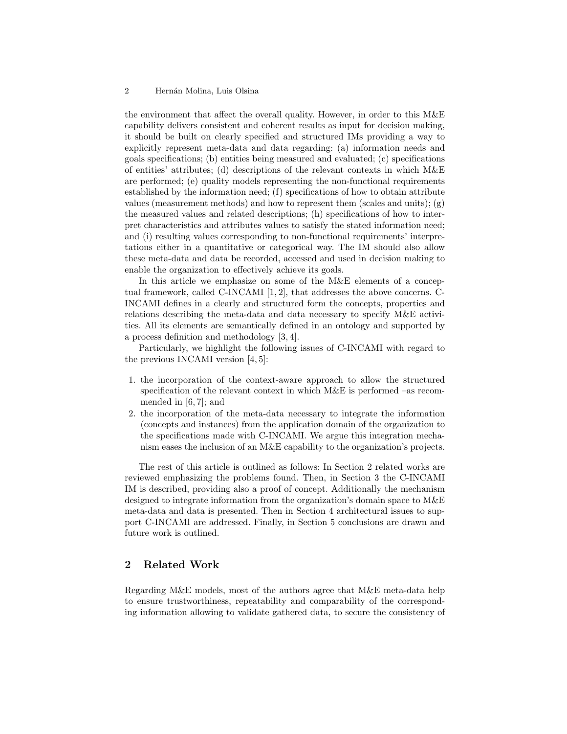the environment that affect the overall quality. However, in order to this M&E capability delivers consistent and coherent results as input for decision making, it should be built on clearly specified and structured IMs providing a way to explicitly represent meta-data and data regarding: (a) information needs and goals specifications; (b) entities being measured and evaluated; (c) specifications of entities' attributes; (d) descriptions of the relevant contexts in which M&E are performed; (e) quality models representing the non-functional requirements established by the information need; (f) specifications of how to obtain attribute values (measurement methods) and how to represent them (scales and units);  $(g)$ the measured values and related descriptions; (h) specifications of how to interpret characteristics and attributes values to satisfy the stated information need; and (i) resulting values corresponding to non-functional requirements' interpretations either in a quantitative or categorical way. The IM should also allow these meta-data and data be recorded, accessed and used in decision making to enable the organization to effectively achieve its goals.

In this article we emphasize on some of the M&E elements of a conceptual framework, called C-INCAMI [1, 2], that addresses the above concerns. C-INCAMI defines in a clearly and structured form the concepts, properties and relations describing the meta-data and data necessary to specify M&E activities. All its elements are semantically defined in an ontology and supported by a process definition and methodology [3, 4].

Particularly, we highlight the following issues of C-INCAMI with regard to the previous INCAMI version [4, 5]:

- 1. the incorporation of the context-aware approach to allow the structured specification of the relevant context in which M&E is performed –as recommended in [6, 7]; and
- 2. the incorporation of the meta-data necessary to integrate the information (concepts and instances) from the application domain of the organization to the specifications made with C-INCAMI. We argue this integration mechanism eases the inclusion of an M&E capability to the organization's projects.

The rest of this article is outlined as follows: In Section 2 related works are reviewed emphasizing the problems found. Then, in Section 3 the C-INCAMI IM is described, providing also a proof of concept. Additionally the mechanism designed to integrate information from the organization's domain space to M&E meta-data and data is presented. Then in Section 4 architectural issues to support C-INCAMI are addressed. Finally, in Section 5 conclusions are drawn and future work is outlined.

# **2 Related Work**

Regarding M&E models, most of the authors agree that M&E meta-data help to ensure trustworthiness, repeatability and comparability of the corresponding information allowing to validate gathered data, to secure the consistency of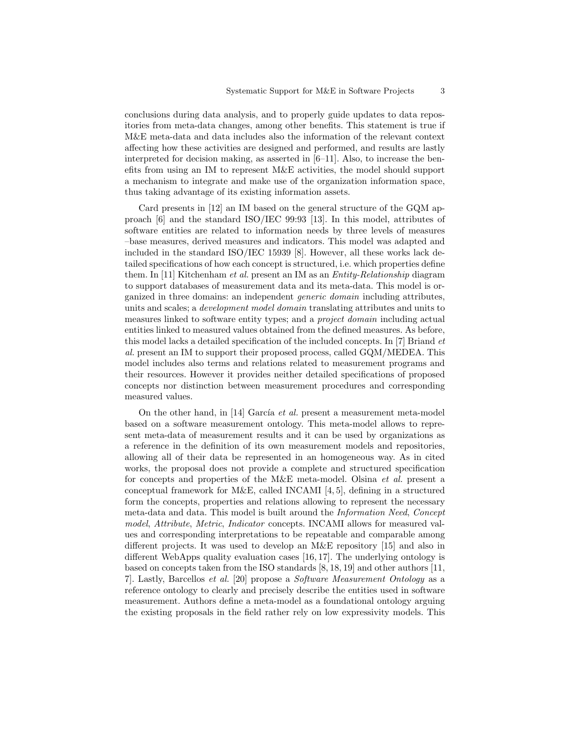conclusions during data analysis, and to properly guide updates to data repositories from meta-data changes, among other benefits. This statement is true if M&E meta-data and data includes also the information of the relevant context affecting how these activities are designed and performed, and results are lastly interpreted for decision making, as asserted in  $[6-11]$ . Also, to increase the benefits from using an IM to represent M&E activities, the model should support a mechanism to integrate and make use of the organization information space, thus taking advantage of its existing information assets.

Card presents in [12] an IM based on the general structure of the GQM approach [6] and the standard ISO/IEC 99:93 [13]. In this model, attributes of software entities are related to information needs by three levels of measures –base measures, derived measures and indicators. This model was adapted and included in the standard ISO/IEC 15939 [8]. However, all these works lack detailed specifications of how each concept is structured, i.e. which properties define them. In [11] Kitchenham *et al.* present an IM as an *Entity-Relationship* diagram to support databases of measurement data and its meta-data. This model is organized in three domains: an independent *generic domain* including attributes, units and scales; a *development model domain* translating attributes and units to measures linked to software entity types; and a *project domain* including actual entities linked to measured values obtained from the defined measures. As before, this model lacks a detailed specification of the included concepts. In [7] Briand *et al.* present an IM to support their proposed process, called GQM/MEDEA. This model includes also terms and relations related to measurement programs and their resources. However it provides neither detailed specifications of proposed concepts nor distinction between measurement procedures and corresponding measured values.

On the other hand, in [14] García *et al.* present a measurement meta-model based on a software measurement ontology. This meta-model allows to represent meta-data of measurement results and it can be used by organizations as a reference in the definition of its own measurement models and repositories, allowing all of their data be represented in an homogeneous way. As in cited works, the proposal does not provide a complete and structured specification for concepts and properties of the M&E meta-model. Olsina *et al.* present a conceptual framework for M&E, called INCAMI  $[4, 5]$ , defining in a structured form the concepts, properties and relations allowing to represent the necessary meta-data and data. This model is built around the *Information Need*, *Concept model*, *Attribute*, *Metric*, *Indicator* concepts. INCAMI allows for measured values and corresponding interpretations to be repeatable and comparable among different projects. It was used to develop an M&E repository [15] and also in different WebApps quality evaluation cases [16, 17]. The underlying ontology is based on concepts taken from the ISO standards [8, 18, 19] and other authors [11, 7]. Lastly, Barcellos *et al.* [20] propose a *Software Measurement Ontology* as a reference ontology to clearly and precisely describe the entities used in software measurement. Authors define a meta-model as a foundational ontology arguing the existing proposals in the field rather rely on low expressivity models. This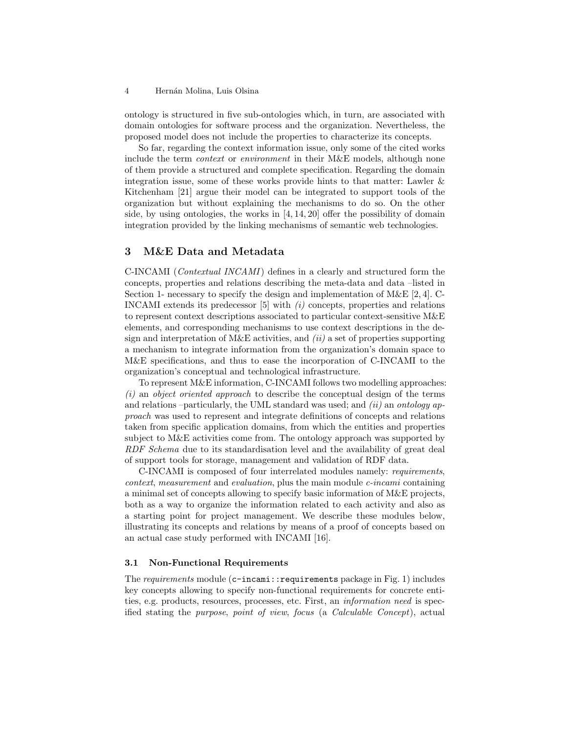ontology is structured in five sub-ontologies which, in turn, are associated with domain ontologies for software process and the organization. Nevertheless, the proposed model does not include the properties to characterize its concepts.

So far, regarding the context information issue, only some of the cited works include the term *context* or *environment* in their M&E models, although none of them provide a structured and complete specification. Regarding the domain integration issue, some of these works provide hints to that matter: Lawler & Kitchenham [21] argue their model can be integrated to support tools of the organization but without explaining the mechanisms to do so. On the other side, by using ontologies, the works in [4, 14, 20] offer the possibility of domain integration provided by the linking mechanisms of semantic web technologies.

# **3 M&E Data and Metadata**

C-INCAMI (*Contextual INCAMI*) defines in a clearly and structured form the concepts, properties and relations describing the meta-data and data –listed in Section 1- necessary to specify the design and implementation of M&E [2, 4]. C-INCAMI extends its predecessor [5] with *(i)* concepts, properties and relations to represent context descriptions associated to particular context-sensitive M&E elements, and corresponding mechanisms to use context descriptions in the design and interpretation of M&E activities, and *(ii)* a set of properties supporting a mechanism to integrate information from the organization's domain space to M&E specifications, and thus to ease the incorporation of C-INCAMI to the organization's conceptual and technological infrastructure.

To represent M&E information, C-INCAMI follows two modelling approaches: *(i)* an *object oriented approach* to describe the conceptual design of the terms and relations –particularly, the UML standard was used; and *(ii)* an *ontology approach* was used to represent and integrate definitions of concepts and relations taken from specific application domains, from which the entities and properties subject to M&E activities come from. The ontology approach was supported by *RDF Schema* due to its standardisation level and the availability of great deal of support tools for storage, management and validation of RDF data.

C-INCAMI is composed of four interrelated modules namely: *requirements*, *context*, *measurement* and *evaluation*, plus the main module *c-incami* containing a minimal set of concepts allowing to specify basic information of M&E projects, both as a way to organize the information related to each activity and also as a starting point for project management. We describe these modules below, illustrating its concepts and relations by means of a proof of concepts based on an actual case study performed with INCAMI [16].

# **3.1 Non-Functional Requirements**

The *requirements* module (c-incami::requirements package in Fig. 1) includes key concepts allowing to specify non-functional requirements for concrete entities, e.g. products, resources, processes, etc. First, an *information need* is specified stating the *purpose*, *point of view*, *focus* (a *Calculable Concept*), actual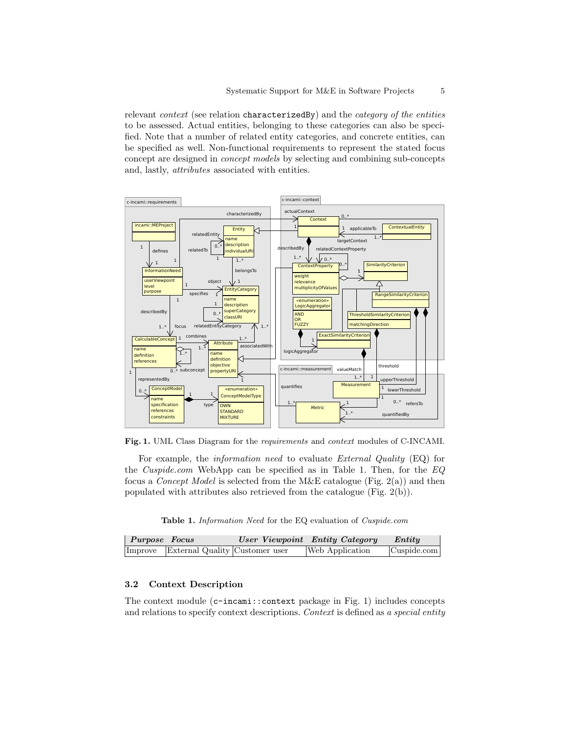relevant *context* (see relation characterizedBy) and the *category of the entities* to be assessed. Actual entities, belonging to these categories can also be specified. Note that a number of related entity categories, and concrete entities, can be specified as well. Non-functional requirements to represent the stated focus concept are designed in *concept models* by selecting and combining sub-concepts and, lastly, *attributes* associated with entities.





For example, the *information need* to evaluate *External Quality* (EQ) for the *Cuspide.com* WebApp can be specified as in Table 1. Then, for the *EQ* focus a *Concept Model* is selected from the M&E catalogue (Fig. 2(a)) and then populated with attributes also retrieved from the catalogue (Fig. 2(b)).

**Table 1.** *Information Need* for the EQ evaluation of *Cuspide.com*

| Purpose Focus |                                        | <b><i>User Viewpoint</i></b> Entity Category | Entity                      |
|---------------|----------------------------------------|----------------------------------------------|-----------------------------|
|               | Improve External Quality Customer user | Web Application                              | $\vert$ Cuspide.com $\vert$ |

### **3.2 Context Description**

The context module (c-incami::context package in Fig. 1) includes concepts and relations to specify context descriptions. *Context* is defined as *a special entity*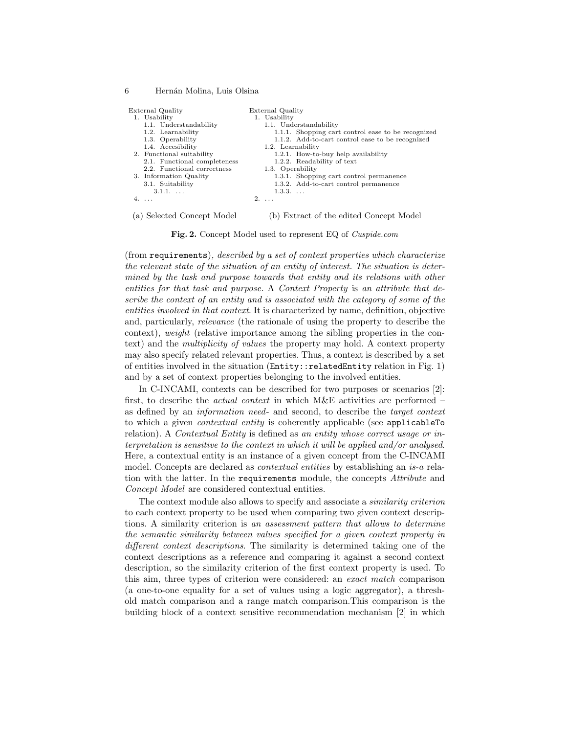| External Quality             | External Quality                                   |
|------------------------------|----------------------------------------------------|
| 1. Usability                 | 1. Usability                                       |
| 1.1. Understandability       | 1.1. Understandability                             |
| 1.2. Learnability            | 1.1.1. Shopping cart control ease to be recognized |
| 1.3. Operability             | 1.1.2. Add-to-cart control ease to be recognized   |
| 1.4. Accesibility            | 1.2. Learnability                                  |
| 2. Functional suitability    | 1.2.1. How-to-buy help availability                |
| 2.1. Functional completeness | 1.2.2. Readability of text                         |
| 2.2. Functional correctness  | 1.3. Operability                                   |
| 3. Information Quality       | 1.3.1. Shopping cart control permanence            |
| 3.1. Suitability             | 1.3.2. Add-to-cart control permanence              |
| $3.1.1. \ldots$              | $1.3.3. \ldots$                                    |
| $4. \ldots$                  | $2. \ldots$                                        |
|                              |                                                    |
|                              |                                                    |

(a) Selected Concept Model

(b) Extract of the edited Concept Model

**Fig. 2.** Concept Model used to represent EQ of *Cuspide.com*

(from requirements)*, described by a set of context properties which characterize the relevant state of the situation of an entity of interest. The situation is determined by the task and purpose towards that entity and its relations with other entities for that task and purpose.* A *Context Property* is *an attribute that describe the context of an entity and is associated with the category of some of the entities involved in that context*. It is characterized by name, definition, objective and, particularly, *relevance* (the rationale of using the property to describe the context), *weight* (relative importance among the sibling properties in the context) and the *multiplicity of values* the property may hold. A context property may also specify related relevant properties. Thus, a context is described by a set of entities involved in the situation (Entity::relatedEntity relation in Fig. 1) and by a set of context properties belonging to the involved entities.

In C-INCAMI, contexts can be described for two purposes or scenarios [2]: first, to describe the *actual context* in which M&E activities are performed – as defined by an *information need*- and second, to describe the *target context* to which a given *contextual entity* is coherently applicable (see applicableTo relation). A *Contextual Entity* is defined as *an entity whose correct usage or interpretation is sensitive to the context in which it will be applied and/or analysed*. Here, a contextual entity is an instance of a given concept from the C-INCAMI model. Concepts are declared as *contextual entities* by establishing an *is-a* relation with the latter. In the requirements module, the concepts *Attribute* and *Concept Model* are considered contextual entities.

The context module also allows to specify and associate a *similarity criterion* to each context property to be used when comparing two given context descriptions. A similarity criterion is *an assessment pattern that allows to determine the semantic similarity between values specified for a given context property in different context descriptions*. The similarity is determined taking one of the context descriptions as a reference and comparing it against a second context description, so the similarity criterion of the first context property is used. To this aim, three types of criterion were considered: an *exact match* comparison (a one-to-one equality for a set of values using a logic aggregator), a threshold match comparison and a range match comparison.This comparison is the building block of a context sensitive recommendation mechanism [2] in which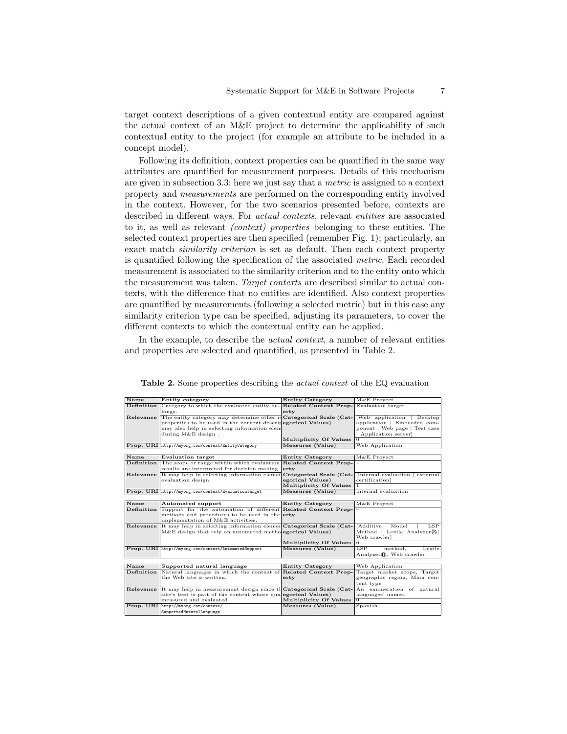target context descriptions of a given contextual entity are compared against the actual context of an M&E project to determine the applicability of such contextual entity to the project (for example an attribute to be included in a concept model).

Following its definition, context properties can be quantified in the same way attributes are quantified for measurement purposes. Details of this mechanism are given in subsection 3.3; here we just say that a *metric* is assigned to a context property and *measurements* are performed on the corresponding entity involved in the context. However, for the two scenarios presented before, contexts are described in different ways. For *actual contexts*, relevant *entities* are associated to it, as well as relevant *(context) properties* belonging to these entities. The selected context properties are then specified (remember Fig. 1); particularly, an exact match *similarity criterion* is set as default. Then each context property is quantified following the specification of the associated *metric*. Each recorded measurement is associated to the similarity criterion and to the entity onto which the measurement was taken. *Target contexts* are described similar to actual contexts, with the difference that no entities are identified. Also context properties are quantified by measurements (following a selected metric) but in this case any similarity criterion type can be specified, adjusting its parameters, to cover the different contexts to which the contextual entity can be applied.

In the example, to describe the *actual context*, a number of relevant entities and properties are selected and quantified, as presented in Table 2.

| Name             | Entity category                                                                   | <b>Entity Category</b>  | M&E Proyect                       |
|------------------|-----------------------------------------------------------------------------------|-------------------------|-----------------------------------|
| Definition       |                                                                                   |                         |                                   |
|                  | Category to which the evaluated entity be- <b>Related Context Prop-</b><br>longs. | erty                    | Evaluation target                 |
| Relevance        | The entity category may determine other reCategorical Scale (Cat-                 |                         | [Web application   Desktop        |
|                  | properties to be used in the context descripegorical Values)                      |                         | application   Embeeded com-       |
|                  | may also help in selecting information elem                                       |                         | ponent   Web page   Test case     |
|                  | during $M\&E$ design.                                                             |                         | Application server]               |
|                  |                                                                                   | Multiplicity Of Values  |                                   |
|                  | Prop. URI http://myorg.com/context/EntityCategory                                 | Measures (Value)        | Web Application                   |
|                  |                                                                                   |                         |                                   |
| Name             | <b>Evaluation target</b>                                                          | <b>Entity Category</b>  | M&E Proyect                       |
| Definition       | The scope or range within which evaluation Related Context Prop-                  |                         |                                   |
|                  | results are interpreted for decision making.                                      | erty                    |                                   |
| Relevance        | It may help in selecting information elemen                                       | Categorical Scale (Cat- | [internal evaluation   external   |
|                  | evaluation design.                                                                | egorical Values)        | certification]                    |
|                  |                                                                                   | Multiplicity Of Values  | $\mathbf{1}$                      |
|                  | Prop. URI http://myorg.com/context/EvaluationTarget                               | Measures (Value)        | internal evaluation               |
|                  |                                                                                   |                         |                                   |
| <b>Name</b>      | <b>Automated support</b>                                                          | <b>Entity Category</b>  | M&E Proyect                       |
| Definition       | Support for the automation of different Related Context Prop-                     |                         |                                   |
|                  | methods and procedures to be used in the erty                                     |                         |                                   |
|                  | implementation of M&E activities.                                                 |                         |                                   |
| <b>Relevance</b> | It may help in selecting information elemen Categorical Scale (Cat-               |                         | [Additive]<br>Model<br><b>LSP</b> |
|                  | $M\&E$ design that rely on automated methologorical Values)                       |                         | Method   Lexile Analyzer®         |
|                  |                                                                                   |                         | Web crawlerl                      |
|                  |                                                                                   | Multiplicity Of Values  | $\Omega$                          |
|                  | Prop. URI http://myorg.com/context/AutomatedSupport                               | Measures (Value)        | LSP<br>method.<br>Lexile          |
|                  |                                                                                   |                         | Analyzer®, Web crawler            |
|                  |                                                                                   |                         |                                   |
| Name             | Supported natural language                                                        | <b>Entity Category</b>  | Web Application                   |
| Definition       | Natural languages in which the content of Related Context Prop-                   |                         | Target market scope, Target       |
|                  | the Web site is written.                                                          | erty                    | geographic region, Main con-      |
|                  |                                                                                   |                         | tent type                         |
| Relevance        | It may help in measurement design since th Categorical Scale (Cat-                |                         | An enumeration of natural         |
|                  | site's text is part of the content whose qualegorical Values)                     |                         | languages' names.                 |
|                  | measured and evaluated                                                            | Multiplicity Of Values  | 0                                 |
|                  | Prop. URI http://myorg.com/context/                                               | Measures (Value)        | Spanish                           |
|                  | SupportedNaturalLanguage                                                          |                         |                                   |

**Table 2.** Some properties describing the *actual context* of the EQ evaluation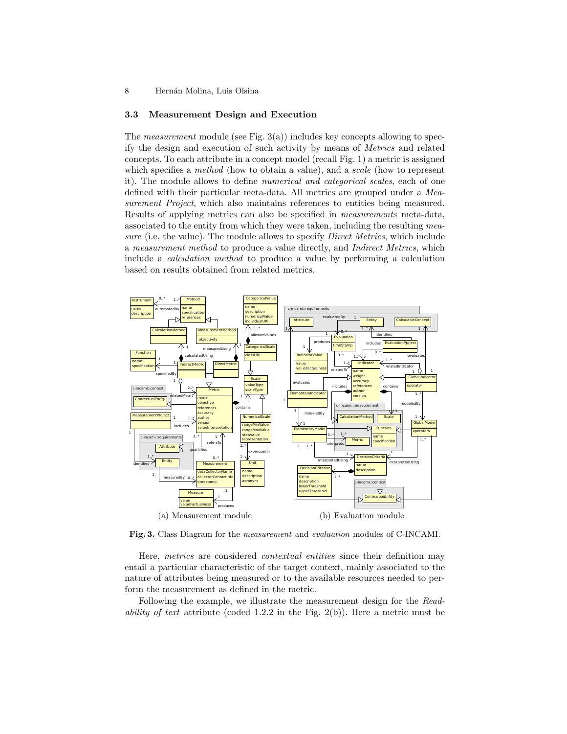#### **3.3 Measurement Design and Execution**

The *measurement* module (see Fig. 3(a)) includes key concepts allowing to specify the design and execution of such activity by means of *Metrics* and related concepts. To each attribute in a concept model (recall Fig. 1) a metric is assigned which specifies a *method* (how to obtain a value), and a *scale* (how to represent it). The module allows to define *numerical and categorical scales*, each of one defined with their particular meta-data. All metrics are grouped under a *Measurement Project*, which also maintains references to entities being measured. Results of applying metrics can also be specified in *measurements* meta-data, associated to the entity from which they were taken, including the resulting *measure* (i.e. the value). The module allows to specify *Direct Metrics*, which include a *measurement method* to produce a value directly, and *Indirect Metrics*, which include a *calculation method* to produce a value by performing a calculation based on results obtained from related metrics.



**Fig. 3.** Class Diagram for the *measurement* and *evaluation* modules of C-INCAMI.

Here, *metrics* are considered *contextual entities* since their definition may entail a particular characteristic of the target context, mainly associated to the nature of attributes being measured or to the available resources needed to perform the measurement as defined in the metric.

Following the example, we illustrate the measurement design for the *Readability of text* attribute (coded 1.2.2 in the Fig. 2(b)). Here a metric must be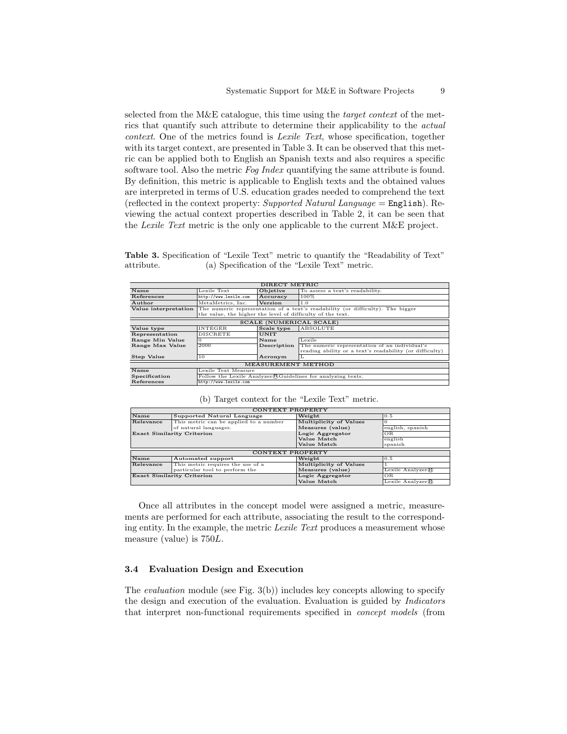selected from the M&E catalogue, this time using the *target context* of the metrics that quantify such attribute to determine their applicability to the *actual context*. One of the metrics found is *Lexile Text*, whose specification, together with its target context, are presented in Table 3. It can be observed that this metric can be applied both to English an Spanish texts and also requires a specific software tool. Also the metric *Fog Index* quantifying the same attribute is found. By definition, this metric is applicable to English texts and the obtained values are interpreted in terms of U.S. education grades needed to comprehend the text (reflected in the context property: *Supported Natural Language* = English). Reviewing the actual context properties described in Table 2, it can be seen that the *Lexile Text* metric is the only one applicable to the current M&E project.

**Table 3.** Specification of "Lexile Text" metric to quantify the "Readability of Text" attribute. (a) Specification of the "Lexile Text" metric.

| DIRECT METRIC                       |                                                                                                     |             |                                                              |  |
|-------------------------------------|-----------------------------------------------------------------------------------------------------|-------------|--------------------------------------------------------------|--|
| Name                                | Lexile Text                                                                                         | Objetive    | To assess a text's readability.                              |  |
| References                          | http://www.lexile.com                                                                               | Accuracy    | $100\%$                                                      |  |
| Author                              | MetaMetrics, Inc.                                                                                   | Version     | 1.0                                                          |  |
|                                     | Value interpretation The numeric representation of a text's readability (or difficulty). The bigger |             |                                                              |  |
|                                     | the value, the higher the level of difficulty of the text.                                          |             |                                                              |  |
| <b>SCALE (NUMERICAL SCALE)</b>      |                                                                                                     |             |                                                              |  |
| Value type                          | <b>INTEGER</b>                                                                                      | Scale type  | ABSOLUTE                                                     |  |
| Representation                      | <b>DISCRETE</b>                                                                                     | <b>UNIT</b> |                                                              |  |
| Range Min Value                     | $\Omega$                                                                                            | Name        | Lexile                                                       |  |
| Range Max Value                     | 2000                                                                                                | Description | The numeric representation of an individual's                |  |
|                                     |                                                                                                     |             | reading ability or a text's readability (or difficulty)      |  |
| <b>Step Value</b>                   | 10                                                                                                  | Acronym     | L                                                            |  |
| <b>MEASUREMENT METHOD</b>           |                                                                                                     |             |                                                              |  |
| Name                                | Lexile Text Measure                                                                                 |             |                                                              |  |
| Specification                       |                                                                                                     |             | Follow the Lexile Analyzer RG uidelines for analyzing texts. |  |
| References<br>http://www.lexile.com |                                                                                                     |             |                                                              |  |

### (b) Target context for the "Lexile Text" metric.

| CONTEXT PROPERTY                  |                                        |                        |                  |  |  |
|-----------------------------------|----------------------------------------|------------------------|------------------|--|--|
| Name                              | Supported Natural Language             | Weight                 | 0.5              |  |  |
| Relevance                         | This metric can be applied to a number | Multiplicity of Values | $\Omega$         |  |  |
|                                   | of natural languages.                  | Measures (value)       | english, spanish |  |  |
| <b>Exact Similarity Criterion</b> |                                        | Logic Aggregator       | OR.              |  |  |
|                                   |                                        | Value Match            | english          |  |  |
|                                   |                                        | Value Match            | spanish          |  |  |
| <b>CONTEXT PROPERTY</b>           |                                        |                        |                  |  |  |
| Name                              | Automated support                      | Weight                 | 0.5              |  |  |
| Relevance                         | This metric requires the use of a      | Multiplicity of Values |                  |  |  |
|                                   | particular tool to perform the         | Measures (value)       | Lexile Analyzer® |  |  |
| <b>Exact Similarity Criterion</b> |                                        | Logic Aggregator       | <b>OR</b>        |  |  |
|                                   |                                        | Value Match            | Lexile Analyzer® |  |  |

Once all attributes in the concept model were assigned a metric, measurements are performed for each attribute, associating the result to the corresponding entity. In the example, the metric *Lexile Text* produces a measurement whose measure (value) is 750*L*.

#### **3.4 Evaluation Design and Execution**

The *evaluation* module (see Fig. 3(b)) includes key concepts allowing to specify the design and execution of the evaluation. Evaluation is guided by *Indicators* that interpret non-functional requirements specified in *concept models* (from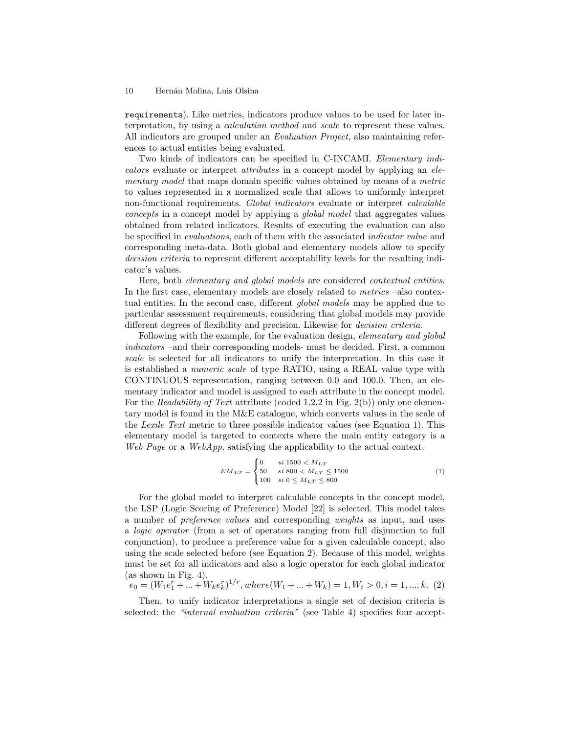requirements). Like metrics, indicators produce values to be used for later interpretation, by using a *calculation method* and *scale* to represent these values. All indicators are grouped under an *Evaluation Project*, also maintaining references to actual entities being evaluated.

Two kinds of indicators can be specified in C-INCAMI. *Elementary indicators* evaluate or interpret *attributes* in a concept model by applying an *elementary model* that maps domain specific values obtained by means of a *metric* to values represented in a normalized scale that allows to uniformly interpret non-functional requirements. *Global indicators* evaluate or interpret *calculable concepts* in a concept model by applying a *global model* that aggregates values obtained from related indicators. Results of executing the evaluation can also be specified in *evaluations*, each of them with the associated *indicator value* and corresponding meta-data. Both global and elementary models allow to specify *decision criteria* to represent different acceptability levels for the resulting indicator's values.

Here, both *elementary and global models* are considered *contextual entities*. In the first case, elementary models are closely related to *metrics* –also contextual entities. In the second case, different *global models* may be applied due to particular assessment requirements, considering that global models may provide different degrees of flexibility and precision. Likewise for *decision criteria*.

Following with the example, for the evaluation design, *elementary and global indicators* –and their corresponding models- must be decided. First, a common *scale* is selected for all indicators to unify the interpretation. In this case it is established a *numeric scale* of type RATIO, using a REAL value type with CONTINUOUS representation, ranging between 0*.*0 and 100*.*0. Then, an elementary indicator and model is assigned to each attribute in the concept model. For the *Readability of Text* attribute (coded 1.2.2 in Fig. 2(b)) only one elementary model is found in the M&E catalogue, which converts values in the scale of the *Lexile Text* metric to three possible indicator values (see Equation 1). This elementary model is targeted to contexts where the main entity category is a *Web Page* or a *WebApp*, satisfying the applicability to the actual context.

$$
EM_{LT} = \begin{cases} 0 & si \ 1500 < M_{LT} \\ 50 & si \ 800 < M_{LT} \le 1500 \\ 100 & si \ 0 \le M_{LT} \le 800 \end{cases} \tag{1}
$$

For the global model to interpret calculable concepts in the concept model, the LSP (Logic Scoring of Preference) Model [22] is selected. This model takes a number of *preference values* and corresponding *weights* as input, and uses a *logic operator* (from a set of operators ranging from full disjunction to full conjunction), to produce a preference value for a given calculable concept, also using the scale selected before (see Equation 2). Because of this model, weights must be set for all indicators and also a logic operator for each global indicator (as shown in Fig. 4).

$$
e_0 = (W_1 e_1^r + \dots + W_k e_k^r)^{1/r}, \nwhere\n(W_1 + \dots + W_k) = 1, W_i > 0, \n\begin{cases}\ni = 1, \dots, k.\n\end{cases}
$$
\n(2)

Then, to unify indicator interpretations a single set of decision criteria is selected: the *"internal evaluation criteria"* (see Table 4) specifies four accept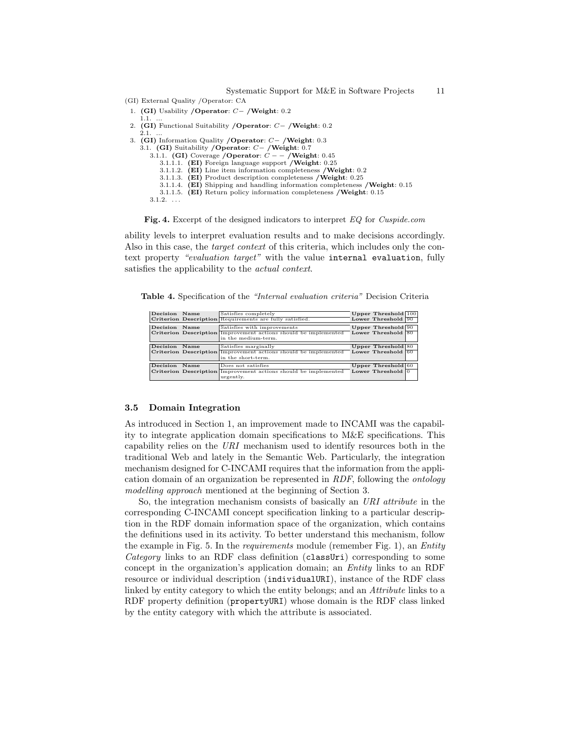Systematic Support for M&E in Software Projects 11

- (GI) External Quality /Operator: CA
- 1. **(GI)** Usability **/Operator**: *C−* **/Weight**: 0*.*2  $1.1.$
- 2. **(GI)** Functional Suitability **/Operator**: *C−* **/Weight**: 0*.*2
- 2.1. ... 3. **(GI)** Information Quality **/Operator**: *C−* **/Weight**: 0*.*3
- 3.1. **(GI)** Suitability **/Operator**: *C−* **/Weight**: 0*.*7
	- 3.1.1. **(GI)** Coverage **/Operator**: *C − −* **/Weight**: 0*.*45
	- 3.1.1.1. **(EI)** Foreign language support **/Weight**: 0*.*25
		- 3.1.1.2. **(EI)** Line item information completeness **/Weight**: 0*.*2
		- 3.1.1.3. **(EI)** Product description completeness **/Weight**: 0*.*25
		- 3.1.1.4. **(EI)** Shipping and handling information completeness **/Weight**: 0*.*15
		- 3.1.1.5. **(EI)** Return policy information completeness **/Weight**: 0*.*15

 $3.1.2.$  ...

**Fig. 4.** Excerpt of the designed indicators to interpret *EQ* for *Cuspide.com*

ability levels to interpret evaluation results and to make decisions accordingly. Also in this case, the *target context* of this criteria, which includes only the context property *"evaluation target"* with the value internal evaluation, fully satisfies the applicability to the *actual context*.

**Table 4.** Specification of the *"Internal evaluation criteria"* Decision Criteria

| Decision Name |      | Satisfies completely                                                   | Upper Threshold 100         |  |
|---------------|------|------------------------------------------------------------------------|-----------------------------|--|
|               |      | Criterion Description Requirements are fully satisfied.                | Lower Threshold 90          |  |
| Decision      | Name | Satisfies with improvements                                            | Upper Threshold 90          |  |
|               |      | Criterion Description Improvement actions should be implemented        | Lower Threshold 80          |  |
|               |      | in the medium-term.                                                    |                             |  |
|               |      |                                                                        |                             |  |
| Decision      | Name | Satisfies marginally                                                   | Upper Threshold 80          |  |
|               |      | Criterion Description Improvement actions should be implemented        | Lower Threshold 60          |  |
|               |      | in the short-term.                                                     |                             |  |
| Decision      | Name | Does not satisfies                                                     | Upper Threshold $60$        |  |
|               |      |                                                                        |                             |  |
|               |      | <b>Criterion Description Improvement actions should be implemented</b> | Lower Threshold $\boxed{0}$ |  |
|               |      | urgently.                                                              |                             |  |

#### **3.5 Domain Integration**

As introduced in Section 1, an improvement made to INCAMI was the capability to integrate application domain specifications to M&E specifications. This capability relies on the *URI* mechanism used to identify resources both in the traditional Web and lately in the Semantic Web. Particularly, the integration mechanism designed for C-INCAMI requires that the information from the application domain of an organization be represented in *RDF*, following the *ontology modelling approach* mentioned at the beginning of Section 3.

So, the integration mechanism consists of basically an *URI attribute* in the corresponding C-INCAMI concept specification linking to a particular description in the RDF domain information space of the organization, which contains the definitions used in its activity. To better understand this mechanism, follow the example in Fig. 5. In the *requirements* module (remember Fig. 1), an *Entity Category* links to an RDF class definition (classUri) corresponding to some concept in the organization's application domain; an *Entity* links to an RDF resource or individual description (individualURI), instance of the RDF class linked by entity category to which the entity belongs; and an *Attribute* links to a RDF property definition (propertyURI) whose domain is the RDF class linked by the entity category with which the attribute is associated.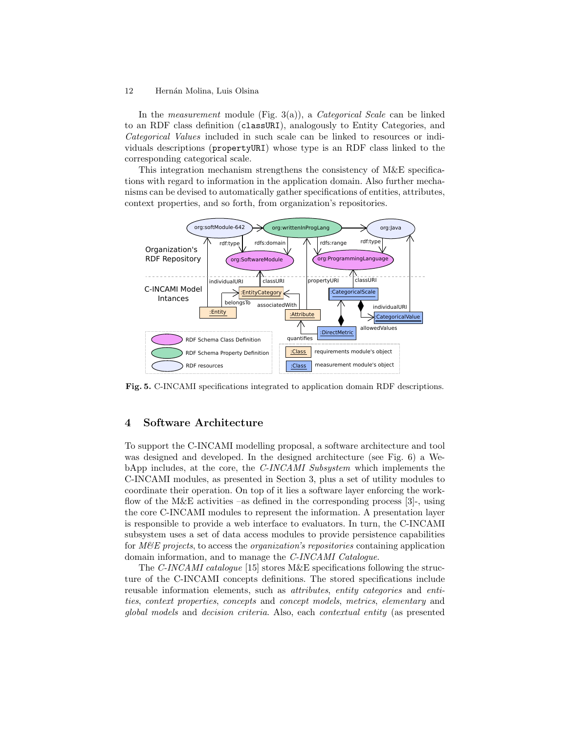In the *measurement* module (Fig. 3(a)), a *Categorical Scale* can be linked to an RDF class definition (classURI), analogously to Entity Categories, and *Categorical Values* included in such scale can be linked to resources or individuals descriptions (propertyURI) whose type is an RDF class linked to the corresponding categorical scale.

This integration mechanism strengthens the consistency of M&E specifications with regard to information in the application domain. Also further mechanisms can be devised to automatically gather specifications of entities, attributes, context properties, and so forth, from organization's repositories.



**Fig. 5.** C-INCAMI specifications integrated to application domain RDF descriptions.

# **4 Software Architecture**

To support the C-INCAMI modelling proposal, a software architecture and tool was designed and developed. In the designed architecture (see Fig. 6) a WebApp includes, at the core, the *C-INCAMI Subsystem* which implements the C-INCAMI modules, as presented in Section 3, plus a set of utility modules to coordinate their operation. On top of it lies a software layer enforcing the workflow of the M&E activities –as defined in the corresponding process  $[3]$ -, using the core C-INCAMI modules to represent the information. A presentation layer is responsible to provide a web interface to evaluators. In turn, the C-INCAMI subsystem uses a set of data access modules to provide persistence capabilities for *M&E projects*, to access the *organization's repositories* containing application domain information, and to manage the *C-INCAMI Catalogue*.

The *C-INCAMI catalogue* [15] stores M&E specifications following the structure of the C-INCAMI concepts definitions. The stored specifications include reusable information elements, such as *attributes*, *entity categories* and *entities*, *context properties*, *concepts* and *concept models*, *metrics*, *elementary* and *global models* and *decision criteria*. Also, each *contextual entity* (as presented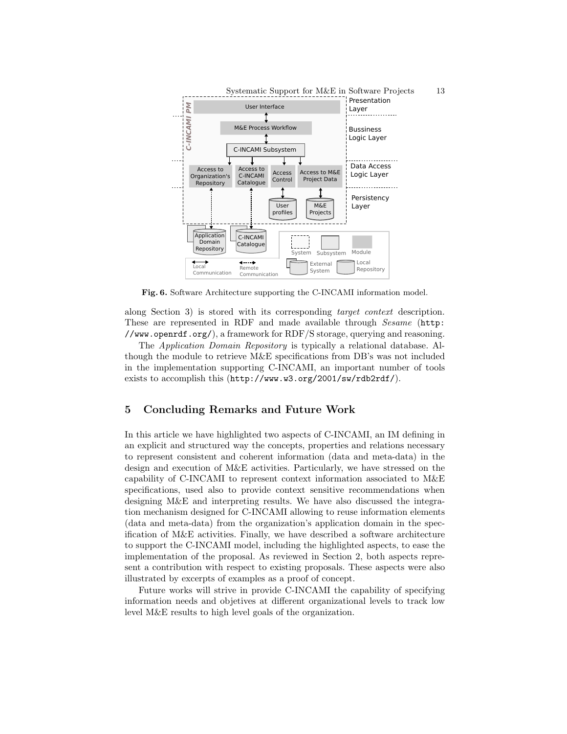

**Fig. 6.** Software Architecture supporting the C-INCAMI information model.

along Section 3) is stored with its corresponding *target context* description. These are represented in RDF and made available through *Sesame* (http: //www.openrdf.org/), a framework for RDF/S storage, querying and reasoning.

The *Application Domain Repository* is typically a relational database. Although the module to retrieve M&E specifications from DB's was not included in the implementation supporting C-INCAMI, an important number of tools exists to accomplish this (http://www.w3.org/2001/sw/rdb2rdf/).

# **5 Concluding Remarks and Future Work**

In this article we have highlighted two aspects of C-INCAMI, an IM defining in an explicit and structured way the concepts, properties and relations necessary to represent consistent and coherent information (data and meta-data) in the design and execution of M&E activities. Particularly, we have stressed on the capability of C-INCAMI to represent context information associated to M&E specifications, used also to provide context sensitive recommendations when designing M&E and interpreting results. We have also discussed the integration mechanism designed for C-INCAMI allowing to reuse information elements (data and meta-data) from the organization's application domain in the specification of M&E activities. Finally, we have described a software architecture to support the C-INCAMI model, including the highlighted aspects, to ease the implementation of the proposal. As reviewed in Section 2, both aspects represent a contribution with respect to existing proposals. These aspects were also illustrated by excerpts of examples as a proof of concept.

Future works will strive in provide C-INCAMI the capability of specifying information needs and objetives at different organizational levels to track low level M&E results to high level goals of the organization.